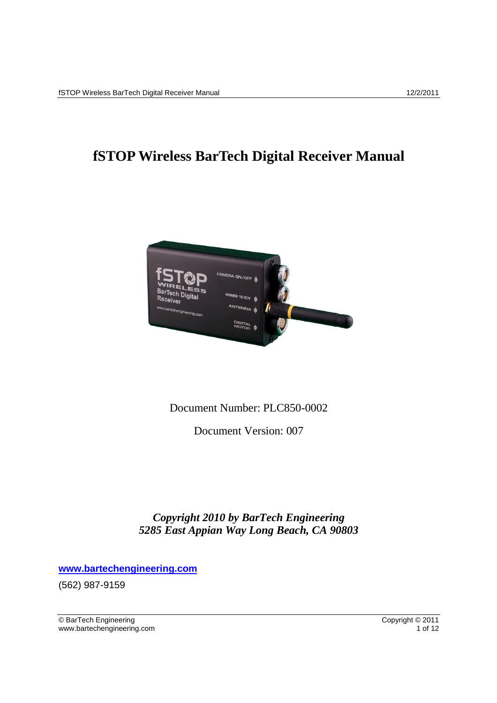# **fSTOP Wireless BarTech Digital Receiver Manual**



### Document Number: PLC850-0002

Document Version: 007

*Copyright 2010 by BarTech Engineering 5285 East Appian Way Long Beach, CA 90803* 

**www.bartechengineering.com**

(562) 987-9159

© BarTech Engineering Copyright © 2011 www.bartechengineering.com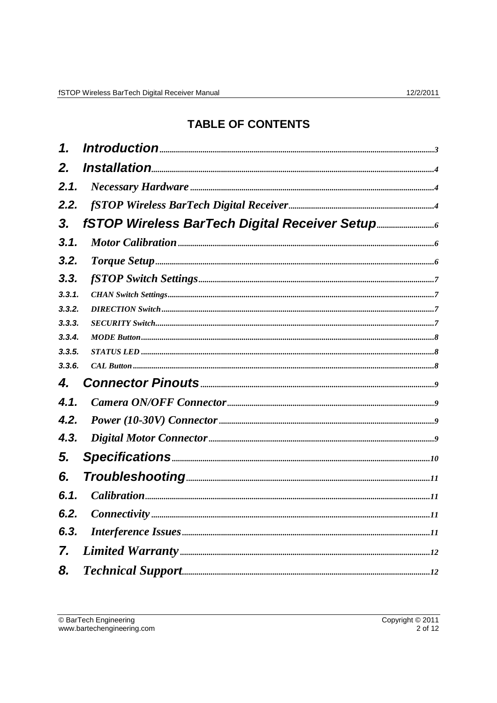## **TABLE OF CONTENTS**

| 1.     |                                                                                                                                                                                                                                                  |  |
|--------|--------------------------------------------------------------------------------------------------------------------------------------------------------------------------------------------------------------------------------------------------|--|
| 2.     |                                                                                                                                                                                                                                                  |  |
| 2.1.   |                                                                                                                                                                                                                                                  |  |
| 2.2.   |                                                                                                                                                                                                                                                  |  |
| 3.     | fSTOP Wireless BarTech Digital Receiver Setup                                                                                                                                                                                                    |  |
| 3.1.   |                                                                                                                                                                                                                                                  |  |
| 3.2.   |                                                                                                                                                                                                                                                  |  |
| 3.3.   |                                                                                                                                                                                                                                                  |  |
| 3.3.1. |                                                                                                                                                                                                                                                  |  |
| 3.3.2. |                                                                                                                                                                                                                                                  |  |
| 3.3.3. |                                                                                                                                                                                                                                                  |  |
| 3.3.4. |                                                                                                                                                                                                                                                  |  |
| 3.3.5. |                                                                                                                                                                                                                                                  |  |
| 3.3.6. |                                                                                                                                                                                                                                                  |  |
| 4.     |                                                                                                                                                                                                                                                  |  |
| 4.1.   |                                                                                                                                                                                                                                                  |  |
| 4.2.   |                                                                                                                                                                                                                                                  |  |
| 4.3.   |                                                                                                                                                                                                                                                  |  |
| 5.     | $\textbf{Specifications} \text{}$ and the contract of the contract of the contract of the contract of the contract of the contract of the contract of the contract of the contract of the contract of the contract of the contract of the contra |  |
| 6.     |                                                                                                                                                                                                                                                  |  |
| 6.1.   |                                                                                                                                                                                                                                                  |  |
|        |                                                                                                                                                                                                                                                  |  |
| 6.3.   |                                                                                                                                                                                                                                                  |  |
| 7.     |                                                                                                                                                                                                                                                  |  |
| 8.     |                                                                                                                                                                                                                                                  |  |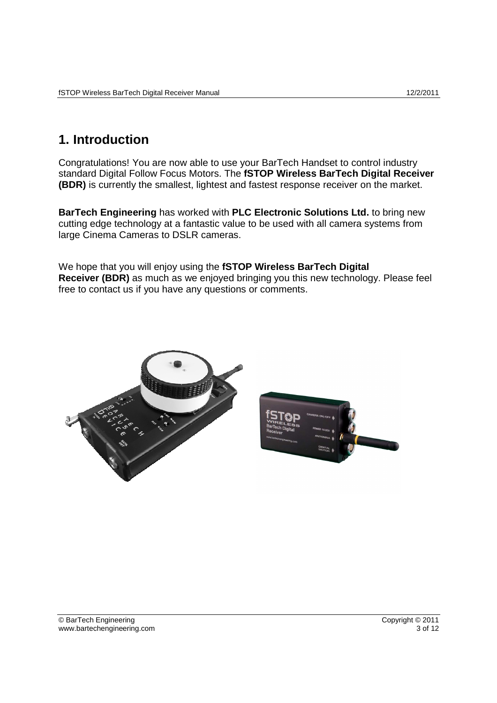## **1. Introduction**

Congratulations! You are now able to use your BarTech Handset to control industry standard Digital Follow Focus Motors. The **fSTOP Wireless BarTech Digital Receiver (BDR)** is currently the smallest, lightest and fastest response receiver on the market.

**BarTech Engineering** has worked with **PLC Electronic Solutions Ltd.** to bring new cutting edge technology at a fantastic value to be used with all camera systems from large Cinema Cameras to DSLR cameras.

We hope that you will enjoy using the **fSTOP Wireless BarTech Digital Receiver (BDR)** as much as we enjoyed bringing you this new technology. Please feel free to contact us if you have any questions or comments.



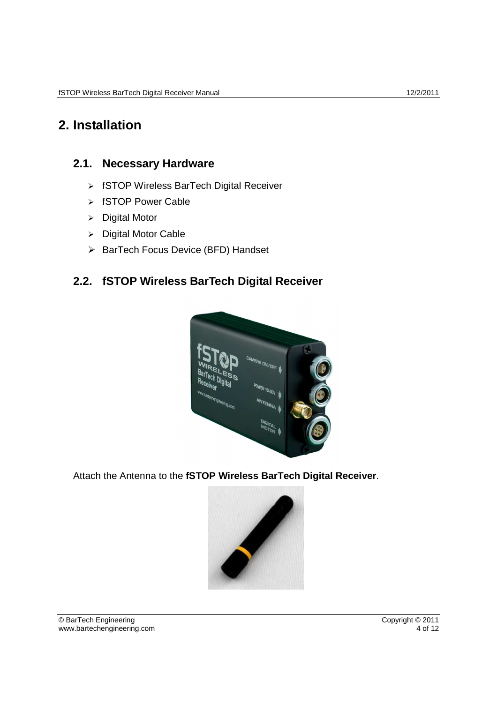## **2. Installation**

### **2.1. Necessary Hardware**

- fSTOP Wireless BarTech Digital Receiver
- > fSTOP Power Cable
- $\triangleright$  Digital Motor
- $\triangleright$  Digital Motor Cable
- $\triangleright$  BarTech Focus Device (BFD) Handset

## **2.2. fSTOP Wireless BarTech Digital Receiver**



Attach the Antenna to the **fSTOP Wireless BarTech Digital Receiver**.

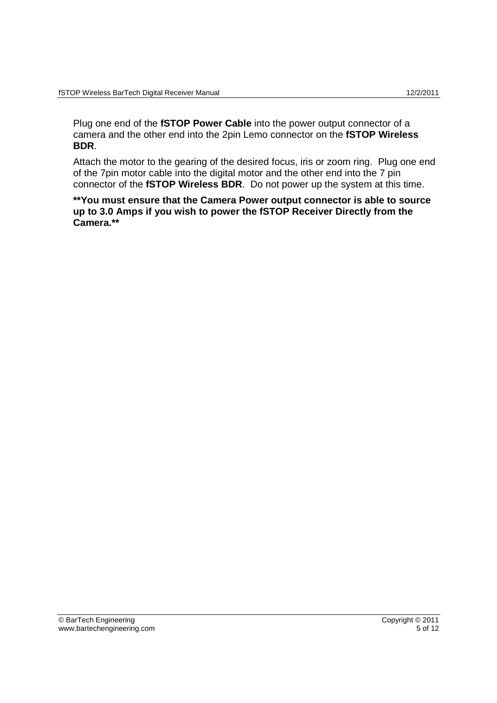Plug one end of the **fSTOP Power Cable** into the power output connector of a camera and the other end into the 2pin Lemo connector on the **fSTOP Wireless BDR**.

Attach the motor to the gearing of the desired focus, iris or zoom ring. Plug one end of the 7pin motor cable into the digital motor and the other end into the 7 pin connector of the **fSTOP Wireless BDR**. Do not power up the system at this time.

**\*\*You must ensure that the Camera Power output connector is able to source up to 3.0 Amps if you wish to power the fSTOP Receiver Directly from the Camera.\*\***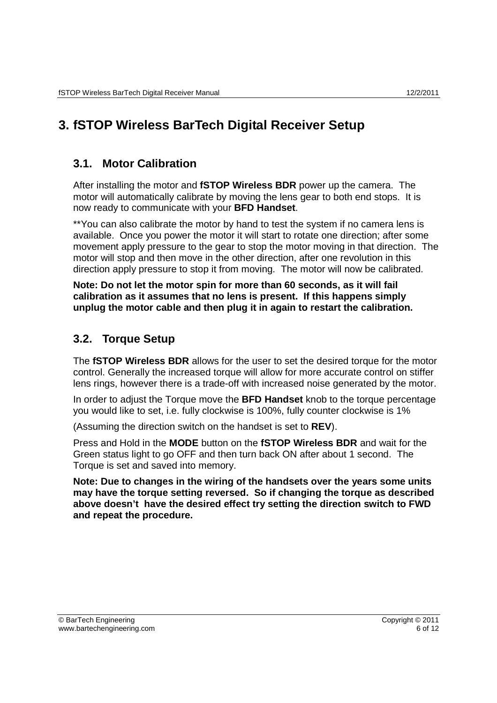# **3. fSTOP Wireless BarTech Digital Receiver Setup**

### **3.1. Motor Calibration**

After installing the motor and **fSTOP Wireless BDR** power up the camera. The motor will automatically calibrate by moving the lens gear to both end stops. It is now ready to communicate with your **BFD Handset**.

\*\*You can also calibrate the motor by hand to test the system if no camera lens is available. Once you power the motor it will start to rotate one direction; after some movement apply pressure to the gear to stop the motor moving in that direction. The motor will stop and then move in the other direction, after one revolution in this direction apply pressure to stop it from moving. The motor will now be calibrated.

**Note: Do not let the motor spin for more than 60 seconds, as it will fail calibration as it assumes that no lens is present. If this happens simply unplug the motor cable and then plug it in again to restart the calibration.** 

## **3.2. Torque Setup**

The **fSTOP Wireless BDR** allows for the user to set the desired torque for the motor control. Generally the increased torque will allow for more accurate control on stiffer lens rings, however there is a trade-off with increased noise generated by the motor.

In order to adjust the Torque move the **BFD Handset** knob to the torque percentage you would like to set, i.e. fully clockwise is 100%, fully counter clockwise is 1%

(Assuming the direction switch on the handset is set to **REV**).

Press and Hold in the **MODE** button on the **fSTOP Wireless BDR** and wait for the Green status light to go OFF and then turn back ON after about 1 second. The Torque is set and saved into memory.

**Note: Due to changes in the wiring of the handsets over the years some units may have the torque setting reversed. So if changing the torque as described above doesn't have the desired effect try setting the direction switch to FWD and repeat the procedure.**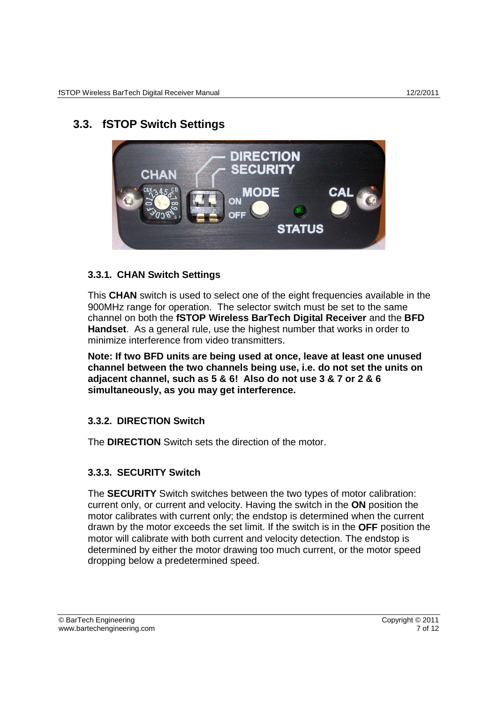## **3.3. fSTOP Switch Settings**



### **3.3.1. CHAN Switch Settings**

This **CHAN** switch is used to select one of the eight frequencies available in the 900MHz range for operation. The selector switch must be set to the same channel on both the **fSTOP Wireless BarTech Digital Receiver** and the **BFD Handset**. As a general rule, use the highest number that works in order to minimize interference from video transmitters.

**Note: If two BFD units are being used at once, leave at least one unused channel between the two channels being use, i.e. do not set the units on adjacent channel, such as 5 & 6! Also do not use 3 & 7 or 2 & 6 simultaneously, as you may get interference.**

### **3.3.2. DIRECTION Switch**

The **DIRECTION** Switch sets the direction of the motor.

### **3.3.3. SECURITY Switch**

The **SECURITY** Switch switches between the two types of motor calibration: current only, or current and velocity. Having the switch in the **ON** position the motor calibrates with current only; the endstop is determined when the current drawn by the motor exceeds the set limit. If the switch is in the **OFF** position the motor will calibrate with both current and velocity detection. The endstop is determined by either the motor drawing too much current, or the motor speed dropping below a predetermined speed.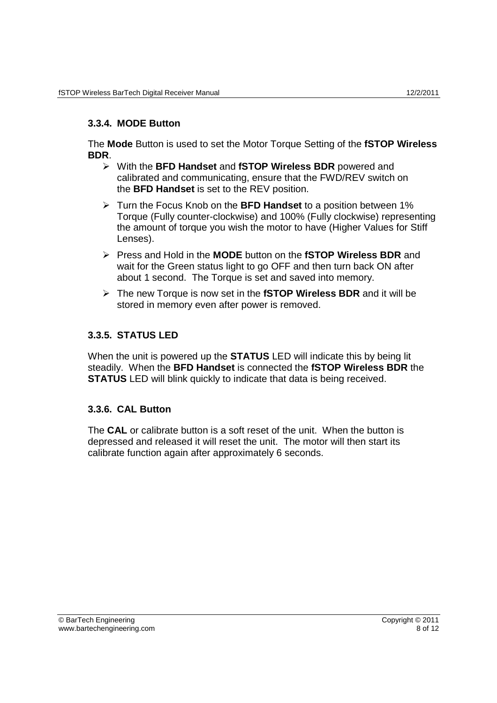#### **3.3.4. MODE Button**

The **Mode** Button is used to set the Motor Torque Setting of the **fSTOP Wireless BDR**.

- With the **BFD Handset** and **fSTOP Wireless BDR** powered and calibrated and communicating, ensure that the FWD/REV switch on the **BFD Handset** is set to the REV position.
- Turn the Focus Knob on the **BFD Handset** to a position between 1% Torque (Fully counter-clockwise) and 100% (Fully clockwise) representing the amount of torque you wish the motor to have (Higher Values for Stiff Lenses).
- Press and Hold in the **MODE** button on the **fSTOP Wireless BDR** and wait for the Green status light to go OFF and then turn back ON after about 1 second. The Torque is set and saved into memory.
- The new Torque is now set in the **fSTOP Wireless BDR** and it will be stored in memory even after power is removed.

#### **3.3.5. STATUS LED**

When the unit is powered up the **STATUS** LED will indicate this by being lit steadily. When the **BFD Handset** is connected the **fSTOP Wireless BDR** the **STATUS** LED will blink quickly to indicate that data is being received.

#### **3.3.6. CAL Button**

The **CAL** or calibrate button is a soft reset of the unit. When the button is depressed and released it will reset the unit. The motor will then start its calibrate function again after approximately 6 seconds.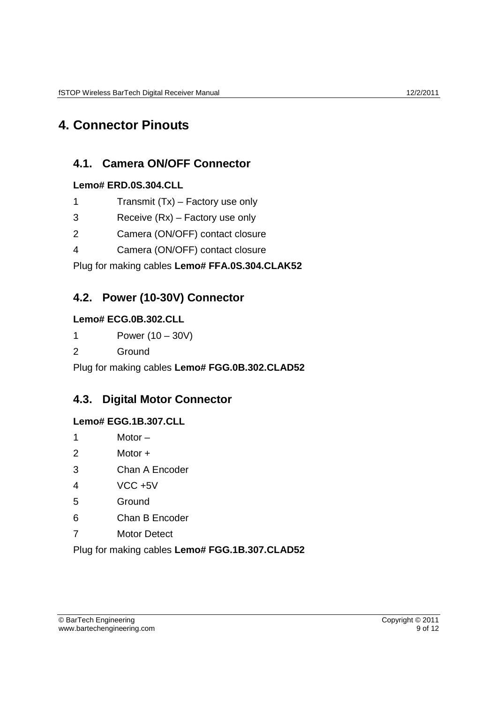## **4. Connector Pinouts**

## **4.1. Camera ON/OFF Connector**

### **Lemo# ERD.0S.304.CLL**

- 1 Transmit (Tx) Factory use only
- 3 Receive (Rx) Factory use only
- 2 Camera (ON/OFF) contact closure
- 4 Camera (ON/OFF) contact closure

Plug for making cables **Lemo# FFA.0S.304.CLAK52** 

## **4.2. Power (10-30V) Connector**

### **Lemo# ECG.0B.302.CLL**

1 Power (10 – 30V)

2 Ground

Plug for making cables **Lemo# FGG.0B.302.CLAD52**

### **4.3. Digital Motor Connector**

### **Lemo# EGG.1B.307.CLL**

- 1 Motor –
- 2 Motor +
- 3 Chan A Encoder
- 4 VCC +5V
- 5 Ground
- 6 Chan B Encoder
- 7 Motor Detect

Plug for making cables **Lemo# FGG.1B.307.CLAD52**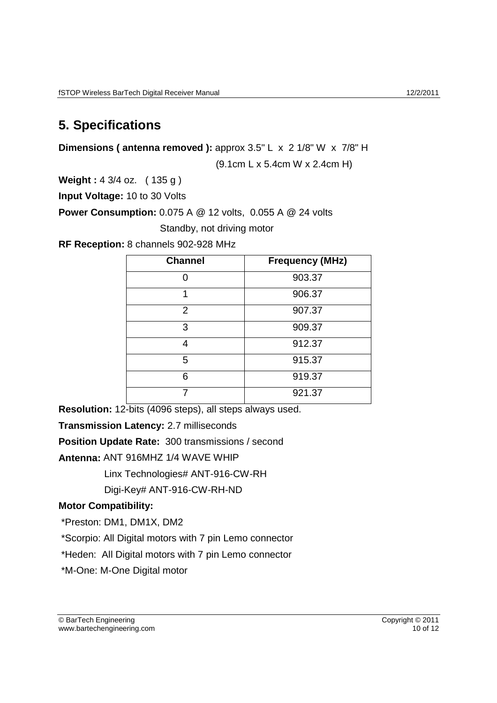## **5. Specifications**

**Dimensions (antenna removed ):** approx 3.5" L x 2 1/8" W x 7/8" H

(9.1cm L x 5.4cm W x 2.4cm H)

**Weight :** 4 3/4 oz. ( 135 g )

**Input Voltage:** 10 to 30 Volts

**Power Consumption:** 0.075 A @ 12 volts, 0.055 A @ 24 volts

Standby, not driving motor

**RF Reception:** 8 channels 902-928 MHz

| <b>Channel</b> | <b>Frequency (MHz)</b> |
|----------------|------------------------|
|                | 903.37                 |
|                | 906.37                 |
| $\overline{2}$ | 907.37                 |
| 3              | 909.37                 |
| 4              | 912.37                 |
| 5              | 915.37                 |
| 6              | 919.37                 |
|                | 921.37                 |

**Resolution:** 12-bits (4096 steps), all steps always used.

**Transmission Latency:** 2.7 milliseconds

**Position Update Rate:** 300 transmissions / second

**Antenna:** ANT 916MHZ 1/4 WAVE WHIP

Linx Technologies# ANT-916-CW-RH

Digi-Key# ANT-916-CW-RH-ND

### **Motor Compatibility:**

\*Preston: DM1, DM1X, DM2

\*Scorpio: All Digital motors with 7 pin Lemo connector

\*Heden: All Digital motors with 7 pin Lemo connector

\*M-One: M-One Digital motor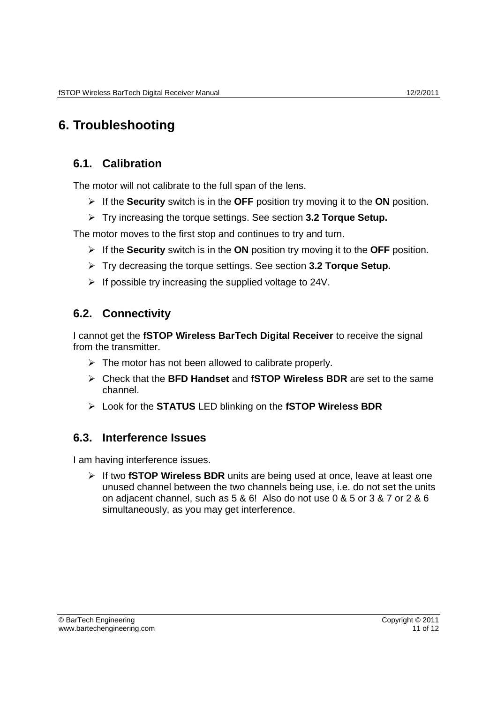# **6. Troubleshooting**

## **6.1. Calibration**

The motor will not calibrate to the full span of the lens.

- If the **Security** switch is in the **OFF** position try moving it to the **ON** position.
- Try increasing the torque settings. See section **3.2 Torque Setup.**

The motor moves to the first stop and continues to try and turn.

- If the **Security** switch is in the **ON** position try moving it to the **OFF** position.
- Try decreasing the torque settings. See section **3.2 Torque Setup.**
- $\triangleright$  If possible try increasing the supplied voltage to 24V.

## **6.2. Connectivity**

I cannot get the **fSTOP Wireless BarTech Digital Receiver** to receive the signal from the transmitter.

- $\triangleright$  The motor has not been allowed to calibrate properly.
- Check that the **BFD Handset** and **fSTOP Wireless BDR** are set to the same channel.
- Look for the **STATUS** LED blinking on the **fSTOP Wireless BDR**

### **6.3. Interference Issues**

I am having interference issues.

 If two **fSTOP Wireless BDR** units are being used at once, leave at least one unused channel between the two channels being use, i.e. do not set the units on adjacent channel, such as 5 & 6! Also do not use 0 & 5 or 3 & 7 or 2 & 6 simultaneously, as you may get interference.